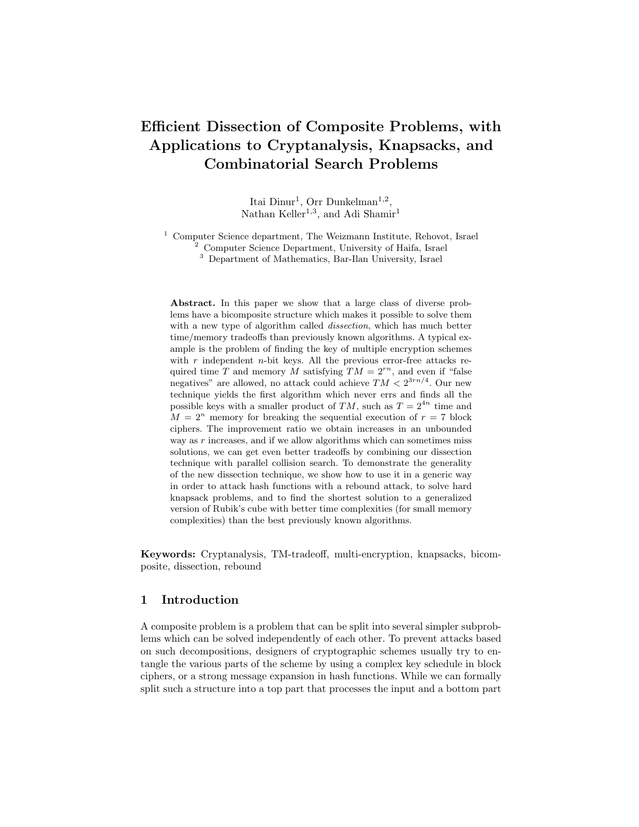# Efficient Dissection of Composite Problems, with Applications to Cryptanalysis, Knapsacks, and Combinatorial Search Problems

Itai Dinur<sup>1</sup>, Orr Dunkelman<sup>1,2</sup>, Nathan Keller<sup>1,3</sup>, and Adi Shamir<sup>1</sup>

<sup>1</sup> Computer Science department, The Weizmann Institute, Rehovot, Israel

<sup>2</sup> Computer Science Department, University of Haifa, Israel <sup>3</sup> Department of Mathematics, Bar-Ilan University, Israel

Abstract. In this paper we show that a large class of diverse problems have a bicomposite structure which makes it possible to solve them with a new type of algorithm called *dissection*, which has much better time/memory tradeoffs than previously known algorithms. A typical example is the problem of finding the key of multiple encryption schemes with  $r$  independent  $n$ -bit keys. All the previous error-free attacks required time T and memory M satisfying  $TM = 2<sup>rn</sup>$ , and even if "false" negatives" are allowed, no attack could achieve  $TM < 2^{3rn/4}$ . Our new technique yields the first algorithm which never errs and finds all the possible keys with a smaller product of  $TM$ , such as  $T = 2^{4n}$  time and  $M = 2<sup>n</sup>$  memory for breaking the sequential execution of  $r = 7$  block ciphers. The improvement ratio we obtain increases in an unbounded way as  $r$  increases, and if we allow algorithms which can sometimes miss solutions, we can get even better tradeoffs by combining our dissection technique with parallel collision search. To demonstrate the generality of the new dissection technique, we show how to use it in a generic way in order to attack hash functions with a rebound attack, to solve hard knapsack problems, and to find the shortest solution to a generalized version of Rubik's cube with better time complexities (for small memory complexities) than the best previously known algorithms.

Keywords: Cryptanalysis, TM-tradeoff, multi-encryption, knapsacks, bicomposite, dissection, rebound

# 1 Introduction

A composite problem is a problem that can be split into several simpler subproblems which can be solved independently of each other. To prevent attacks based on such decompositions, designers of cryptographic schemes usually try to entangle the various parts of the scheme by using a complex key schedule in block ciphers, or a strong message expansion in hash functions. While we can formally split such a structure into a top part that processes the input and a bottom part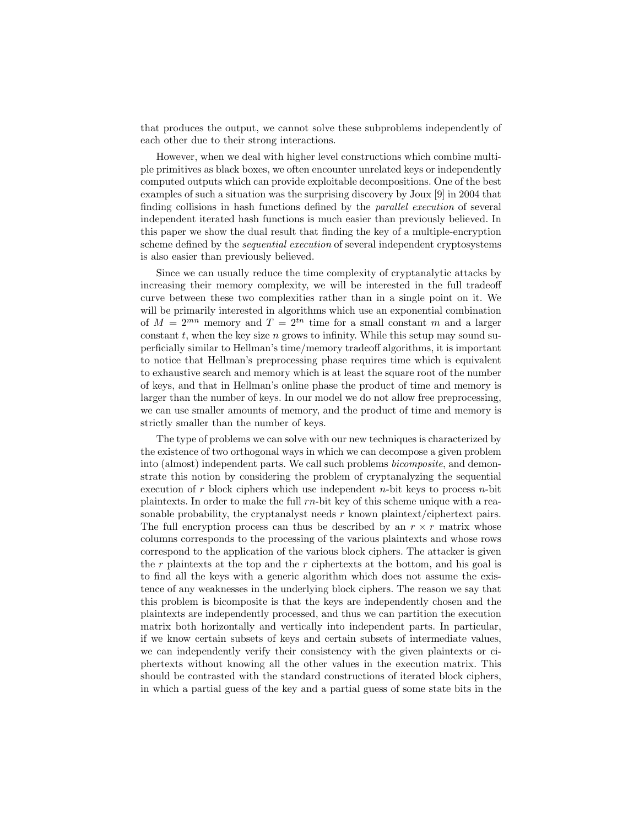that produces the output, we cannot solve these subproblems independently of each other due to their strong interactions.

However, when we deal with higher level constructions which combine multiple primitives as black boxes, we often encounter unrelated keys or independently computed outputs which can provide exploitable decompositions. One of the best examples of such a situation was the surprising discovery by Joux [9] in 2004 that finding collisions in hash functions defined by the parallel execution of several independent iterated hash functions is much easier than previously believed. In this paper we show the dual result that finding the key of a multiple-encryption scheme defined by the *sequential execution* of several independent cryptosystems is also easier than previously believed.

Since we can usually reduce the time complexity of cryptanalytic attacks by increasing their memory complexity, we will be interested in the full tradeoff curve between these two complexities rather than in a single point on it. We will be primarily interested in algorithms which use an exponential combination of  $M = 2^{mn}$  memory and  $T = 2^{tn}$  time for a small constant m and a larger constant  $t$ , when the key size  $n$  grows to infinity. While this setup may sound superficially similar to Hellman's time/memory tradeoff algorithms, it is important to notice that Hellman's preprocessing phase requires time which is equivalent to exhaustive search and memory which is at least the square root of the number of keys, and that in Hellman's online phase the product of time and memory is larger than the number of keys. In our model we do not allow free preprocessing, we can use smaller amounts of memory, and the product of time and memory is strictly smaller than the number of keys.

The type of problems we can solve with our new techniques is characterized by the existence of two orthogonal ways in which we can decompose a given problem into (almost) independent parts. We call such problems bicomposite, and demonstrate this notion by considering the problem of cryptanalyzing the sequential execution of r block ciphers which use independent n-bit keys to process  $n$ -bit plaintexts. In order to make the full  $rn$ -bit key of this scheme unique with a reasonable probability, the cryptanalyst needs  $r$  known plaintext/ciphertext pairs. The full encryption process can thus be described by an  $r \times r$  matrix whose columns corresponds to the processing of the various plaintexts and whose rows correspond to the application of the various block ciphers. The attacker is given the r plaintexts at the top and the r ciphertexts at the bottom, and his goal is to find all the keys with a generic algorithm which does not assume the existence of any weaknesses in the underlying block ciphers. The reason we say that this problem is bicomposite is that the keys are independently chosen and the plaintexts are independently processed, and thus we can partition the execution matrix both horizontally and vertically into independent parts. In particular, if we know certain subsets of keys and certain subsets of intermediate values, we can independently verify their consistency with the given plaintexts or ciphertexts without knowing all the other values in the execution matrix. This should be contrasted with the standard constructions of iterated block ciphers, in which a partial guess of the key and a partial guess of some state bits in the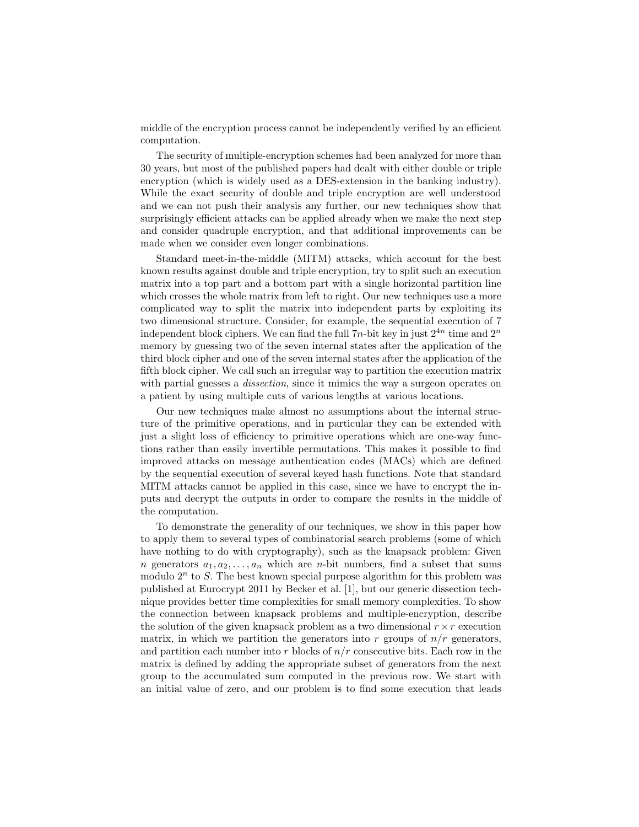middle of the encryption process cannot be independently verified by an efficient computation.

The security of multiple-encryption schemes had been analyzed for more than 30 years, but most of the published papers had dealt with either double or triple encryption (which is widely used as a DES-extension in the banking industry). While the exact security of double and triple encryption are well understood and we can not push their analysis any further, our new techniques show that surprisingly efficient attacks can be applied already when we make the next step and consider quadruple encryption, and that additional improvements can be made when we consider even longer combinations.

Standard meet-in-the-middle (MITM) attacks, which account for the best known results against double and triple encryption, try to split such an execution matrix into a top part and a bottom part with a single horizontal partition line which crosses the whole matrix from left to right. Our new techniques use a more complicated way to split the matrix into independent parts by exploiting its two dimensional structure. Consider, for example, the sequential execution of 7 independent block ciphers. We can find the full 7n-bit key in just  $2^{4n}$  time and  $2^n$ memory by guessing two of the seven internal states after the application of the third block cipher and one of the seven internal states after the application of the fifth block cipher. We call such an irregular way to partition the execution matrix with partial guesses a *dissection*, since it mimics the way a surgeon operates on a patient by using multiple cuts of various lengths at various locations.

Our new techniques make almost no assumptions about the internal structure of the primitive operations, and in particular they can be extended with just a slight loss of efficiency to primitive operations which are one-way functions rather than easily invertible permutations. This makes it possible to find improved attacks on message authentication codes (MACs) which are defined by the sequential execution of several keyed hash functions. Note that standard MITM attacks cannot be applied in this case, since we have to encrypt the inputs and decrypt the outputs in order to compare the results in the middle of the computation.

To demonstrate the generality of our techniques, we show in this paper how to apply them to several types of combinatorial search problems (some of which have nothing to do with cryptography), such as the knapsack problem: Given n generators  $a_1, a_2, \ldots, a_n$  which are n-bit numbers, find a subset that sums modulo  $2^n$  to S. The best known special purpose algorithm for this problem was published at Eurocrypt 2011 by Becker et al. [1], but our generic dissection technique provides better time complexities for small memory complexities. To show the connection between knapsack problems and multiple-encryption, describe the solution of the given knapsack problem as a two dimensional  $r \times r$  execution matrix, in which we partition the generators into r groups of  $n/r$  generators, and partition each number into r blocks of  $n/r$  consecutive bits. Each row in the matrix is defined by adding the appropriate subset of generators from the next group to the accumulated sum computed in the previous row. We start with an initial value of zero, and our problem is to find some execution that leads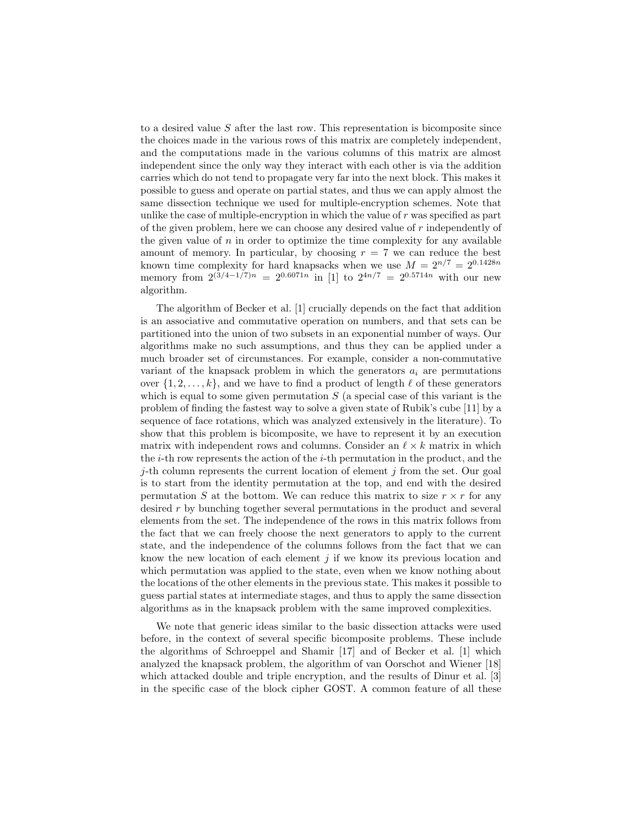to a desired value  $S$  after the last row. This representation is bicomposite since the choices made in the various rows of this matrix are completely independent, and the computations made in the various columns of this matrix are almost independent since the only way they interact with each other is via the addition carries which do not tend to propagate very far into the next block. This makes it possible to guess and operate on partial states, and thus we can apply almost the same dissection technique we used for multiple-encryption schemes. Note that unlike the case of multiple-encryption in which the value of r was specified as part of the given problem, here we can choose any desired value of r independently of the given value of  $n$  in order to optimize the time complexity for any available amount of memory. In particular, by choosing  $r = 7$  we can reduce the best known time complexity for hard knapsacks when we use  $M = 2^{n/7} = 2^{0.1428n}$ memory from  $2^{(\frac{3}{4}-1/7)n} = 2^{0.6071n}$  in [1] to  $2^{4n/7} = 2^{0.5714n}$  with our new algorithm.

The algorithm of Becker et al. [1] crucially depends on the fact that addition is an associative and commutative operation on numbers, and that sets can be partitioned into the union of two subsets in an exponential number of ways. Our algorithms make no such assumptions, and thus they can be applied under a much broader set of circumstances. For example, consider a non-commutative variant of the knapsack problem in which the generators  $a_i$  are permutations over  $\{1, 2, \ldots, k\}$ , and we have to find a product of length  $\ell$  of these generators which is equal to some given permutation  $S$  (a special case of this variant is the problem of finding the fastest way to solve a given state of Rubik's cube [11] by a sequence of face rotations, which was analyzed extensively in the literature). To show that this problem is bicomposite, we have to represent it by an execution matrix with independent rows and columns. Consider an  $\ell \times k$  matrix in which the i-th row represents the action of the i-th permutation in the product, and the j-th column represents the current location of element j from the set. Our goal is to start from the identity permutation at the top, and end with the desired permutation S at the bottom. We can reduce this matrix to size  $r \times r$  for any desired r by bunching together several permutations in the product and several elements from the set. The independence of the rows in this matrix follows from the fact that we can freely choose the next generators to apply to the current state, and the independence of the columns follows from the fact that we can know the new location of each element  $j$  if we know its previous location and which permutation was applied to the state, even when we know nothing about the locations of the other elements in the previous state. This makes it possible to guess partial states at intermediate stages, and thus to apply the same dissection algorithms as in the knapsack problem with the same improved complexities.

We note that generic ideas similar to the basic dissection attacks were used before, in the context of several specific bicomposite problems. These include the algorithms of Schroeppel and Shamir [17] and of Becker et al. [1] which analyzed the knapsack problem, the algorithm of van Oorschot and Wiener [18] which attacked double and triple encryption, and the results of Dinur et al. [3] in the specific case of the block cipher GOST. A common feature of all these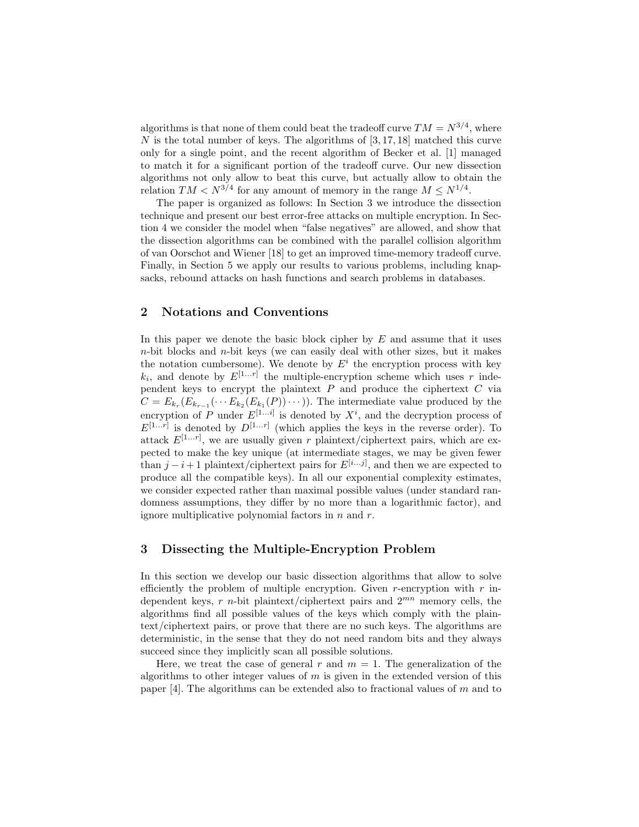algorithms is that none of them could beat the tradeoff curve  $TM = N^{3/4}$ , where N is the total number of keys. The algorithms of  $[3, 17, 18]$  matched this curve only for a single point, and the recent algorithm of Becker et al. [1] managed to match it for a significant portion of the tradeoff curve. Our new dissection algorithms not only allow to beat this curve, but actually allow to obtain the relation  $TM < N^{3/4}$  for any amount of memory in the range  $M \le N^{1/4}$ .

The paper is organized as follows: In Section 3 we introduce the dissection technique and present our best error-free attacks on multiple encryption. In Section 4 we consider the model when "false negatives" are allowed, and show that the dissection algorithms can be combined with the parallel collision algorithm of van Oorschot and Wiener [18] to get an improved time-memory tradeoff curve. Finally, in Section 5 we apply our results to various problems, including knapsacks, rebound attacks on hash functions and search problems in databases.

# 2 Notations and Conventions

In this paper we denote the basic block cipher by  $E$  and assume that it uses  $n$ -bit blocks and  $n$ -bit keys (we can easily deal with other sizes, but it makes the notation cumbersome). We denote by  $E^i$  the encryption process with key  $k_i$ , and denote by  $E^{[1...r]}$  the multiple-encryption scheme which uses r independent keys to encrypt the plaintext  $P$  and produce the ciphertext  $C$  via  $C = E_{k_r}(E_{k_{r-1}}(\cdots E_{k_2}(E_{k_1}(P))\cdots)).$  The intermediate value produced by the encryption of P under  $E^{[1...i]}$  is denoted by  $X^i$ , and the decryption process of  $E^{[1...r]}$  is denoted by  $D^{[1...r]}$  (which applies the keys in the reverse order). To attack  $E^{[1...r]}$ , we are usually given r plaintext/ciphertext pairs, which are expected to make the key unique (at intermediate stages, we may be given fewer than  $j - i + 1$  plaintext/ciphertext pairs for  $E^{[i...j]}$ , and then we are expected to produce all the compatible keys). In all our exponential complexity estimates, we consider expected rather than maximal possible values (under standard randomness assumptions, they differ by no more than a logarithmic factor), and ignore multiplicative polynomial factors in  $n$  and  $r$ .

# 3 Dissecting the Multiple-Encryption Problem

In this section we develop our basic dissection algorithms that allow to solve efficiently the problem of multiple encryption. Given r-encryption with  $r$  independent keys, r n-bit plaintext/ciphertext pairs and  $2^{mn}$  memory cells, the algorithms find all possible values of the keys which comply with the plaintext/ciphertext pairs, or prove that there are no such keys. The algorithms are deterministic, in the sense that they do not need random bits and they always succeed since they implicitly scan all possible solutions.

Here, we treat the case of general r and  $m = 1$ . The generalization of the algorithms to other integer values of  $m$  is given in the extended version of this paper  $[4]$ . The algorithms can be extended also to fractional values of m and to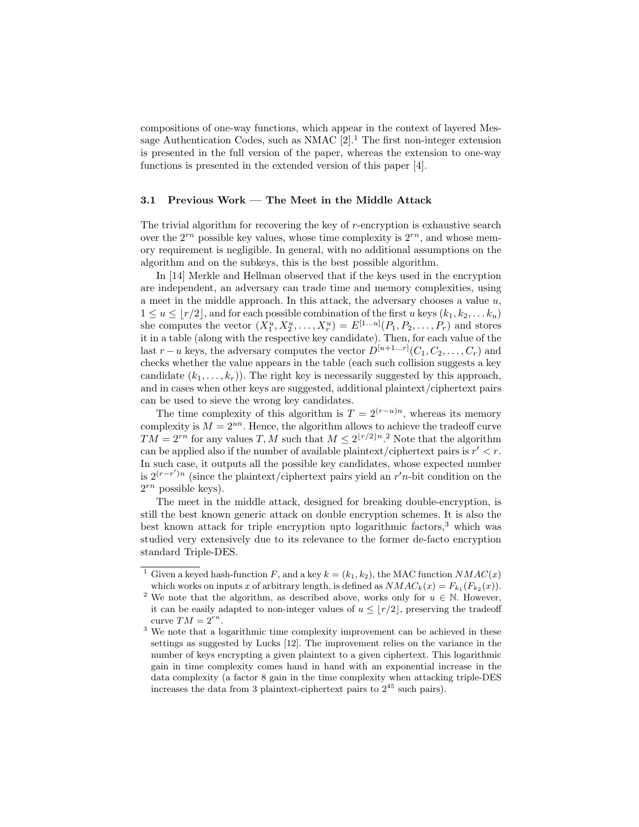compositions of one-way functions, which appear in the context of layered Message Authentication Codes, such as NMAC  $[2].<sup>1</sup>$  The first non-integer extension is presented in the full version of the paper, whereas the extension to one-way functions is presented in the extended version of this paper [4].

#### 3.1 Previous Work — The Meet in the Middle Attack

The trivial algorithm for recovering the key of r-encryption is exhaustive search over the  $2^{rn}$  possible key values, whose time complexity is  $2^{rn}$ , and whose memory requirement is negligible. In general, with no additional assumptions on the algorithm and on the subkeys, this is the best possible algorithm.

In [14] Merkle and Hellman observed that if the keys used in the encryption are independent, an adversary can trade time and memory complexities, using a meet in the middle approach. In this attack, the adversary chooses a value  $u$ ,  $1 \le u \le |r/2|$ , and for each possible combination of the first u keys  $(k_1, k_2, \ldots k_u)$ she computes the vector  $(X_1^u, X_2^u, \ldots, X_r^u) = E^{[1...u]}(P_1, P_2, \ldots, P_r)$  and stores it in a table (along with the respective key candidate). Then, for each value of the last  $r - u$  keys, the adversary computes the vector  $D^{[u+1...r]}(C_1, C_2, \ldots, C_r)$  and checks whether the value appears in the table (each such collision suggests a key candidate  $(k_1, \ldots, k_r)$ . The right key is necessarily suggested by this approach, and in cases when other keys are suggested, additional plaintext/ciphertext pairs can be used to sieve the wrong key candidates.

The time complexity of this algorithm is  $T = 2^{(r-u)n}$ , whereas its memory complexity is  $M = 2^{un}$ . Hence, the algorithm allows to achieve the tradeoff curve  $TM = 2^{rn}$  for any values T, M such that  $M \leq 2^{\lfloor r/2 \rfloor n}$ .<sup>2</sup> Note that the algorithm can be applied also if the number of available plaintext/ciphertext pairs is  $r' < r$ . In such case, it outputs all the possible key candidates, whose expected number is  $2^{(r-r'n)}$  (since the plaintext/ciphertext pairs yield an r'n-bit condition on the  $2^{rn}$  possible keys).

The meet in the middle attack, designed for breaking double-encryption, is still the best known generic attack on double encryption schemes. It is also the best known attack for triple encryption upto logarithmic factors, $3$  which was studied very extensively due to its relevance to the former de-facto encryption standard Triple-DES.

<sup>&</sup>lt;sup>1</sup> Given a keyed hash-function  $F$ , and a key  $k = (k_1, k_2)$ , the MAC function  $NMAC(x)$ which works on inputs x of arbitrary length, is defined as  $NMAC_k(x) = F_{k_1}(F_{k_2}(x))$ .

<sup>&</sup>lt;sup>2</sup> We note that the algorithm, as described above, works only for  $u \in \mathbb{N}$ . However, it can be easily adapted to non-integer values of  $u \leq \lfloor r/2 \rfloor$ , preserving the tradeoff curve  $TM = 2^{rn}$ .

<sup>&</sup>lt;sup>3</sup> We note that a logarithmic time complexity improvement can be achieved in these settings as suggested by Lucks [12]. The improvement relies on the variance in the number of keys encrypting a given plaintext to a given ciphertext. This logarithmic gain in time complexity comes hand in hand with an exponential increase in the data complexity (a factor 8 gain in the time complexity when attacking triple-DES increases the data from 3 plaintext-ciphertext pairs to  $2^{45}$  such pairs).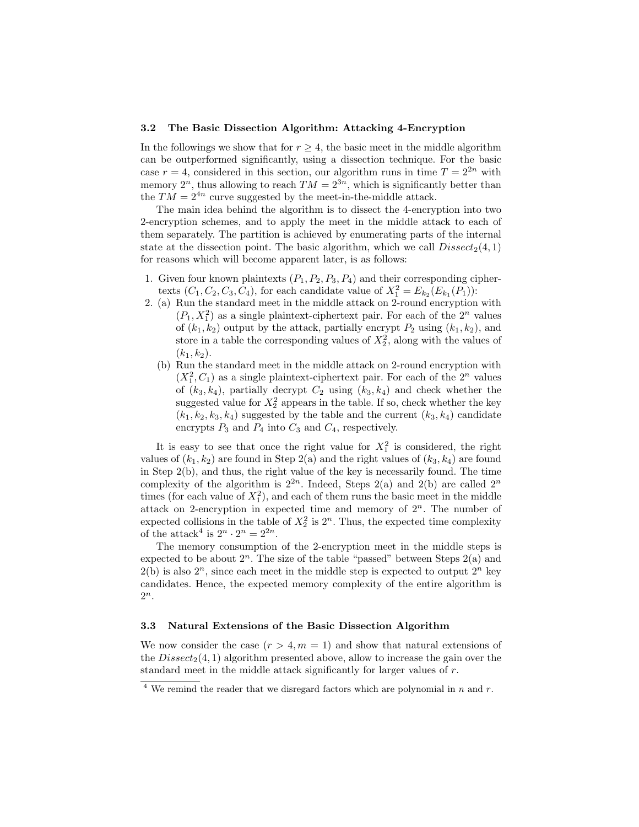#### 3.2 The Basic Dissection Algorithm: Attacking 4-Encryption

In the followings we show that for  $r \geq 4$ , the basic meet in the middle algorithm can be outperformed significantly, using a dissection technique. For the basic case  $r = 4$ , considered in this section, our algorithm runs in time  $T = 2^{2n}$  with memory  $2^n$ , thus allowing to reach  $TM = 2^{3n}$ , which is significantly better than the  $TM = 2^{4n}$  curve suggested by the meet-in-the-middle attack.

The main idea behind the algorithm is to dissect the 4-encryption into two 2-encryption schemes, and to apply the meet in the middle attack to each of them separately. The partition is achieved by enumerating parts of the internal state at the dissection point. The basic algorithm, which we call  $Dissect_2(4, 1)$ for reasons which will become apparent later, is as follows:

- 1. Given four known plaintexts  $(P_1, P_2, P_3, P_4)$  and their corresponding ciphertexts  $(C_1, C_2, C_3, C_4)$ , for each candidate value of  $X_1^2 = E_{k_2}(E_{k_1}(P_1))$ :
- 2. (a) Run the standard meet in the middle attack on 2-round encryption with  $(P_1, X_1^2)$  as a single plaintext-ciphertext pair. For each of the  $2^n$  values of  $(k_1, k_2)$  output by the attack, partially encrypt  $P_2$  using  $(k_1, k_2)$ , and store in a table the corresponding values of  $X_2^2$ , along with the values of  $(k_1, k_2)$ .
	- (b) Run the standard meet in the middle attack on 2-round encryption with  $(X_1^2, C_1)$  as a single plaintext-ciphertext pair. For each of the  $2^n$  values of  $(k_3, k_4)$ , partially decrypt  $C_2$  using  $(k_3, k_4)$  and check whether the suggested value for  $X_2^2$  appears in the table. If so, check whether the key  $(k_1, k_2, k_3, k_4)$  suggested by the table and the current  $(k_3, k_4)$  candidate encrypts  $P_3$  and  $P_4$  into  $C_3$  and  $C_4$ , respectively.

It is easy to see that once the right value for  $X_1^2$  is considered, the right values of  $(k_1, k_2)$  are found in Step 2(a) and the right values of  $(k_3, k_4)$  are found in Step 2(b), and thus, the right value of the key is necessarily found. The time complexity of the algorithm is  $2^{2n}$ . Indeed, Steps 2(a) and 2(b) are called  $2^{n}$ times (for each value of  $X_1^2$ ), and each of them runs the basic meet in the middle attack on 2-encryption in expected time and memory of  $2<sup>n</sup>$ . The number of expected collisions in the table of  $X_2^2$  is  $2^n$ . Thus, the expected time complexity of the attack<sup>4</sup> is  $2^n \cdot 2^n = 2^{2n}$ .

The memory consumption of the 2-encryption meet in the middle steps is expected to be about  $2^n$ . The size of the table "passed" between Steps  $2(a)$  and  $2(b)$  is also  $2^n$ , since each meet in the middle step is expected to output  $2^n$  key candidates. Hence, the expected memory complexity of the entire algorithm is  $2^n$ .

#### 3.3 Natural Extensions of the Basic Dissection Algorithm

We now consider the case  $(r > 4, m = 1)$  and show that natural extensions of the  $Dissect_2(4, 1)$  algorithm presented above, allow to increase the gain over the standard meet in the middle attack significantly for larger values of r.

<sup>&</sup>lt;sup>4</sup> We remind the reader that we disregard factors which are polynomial in n and r.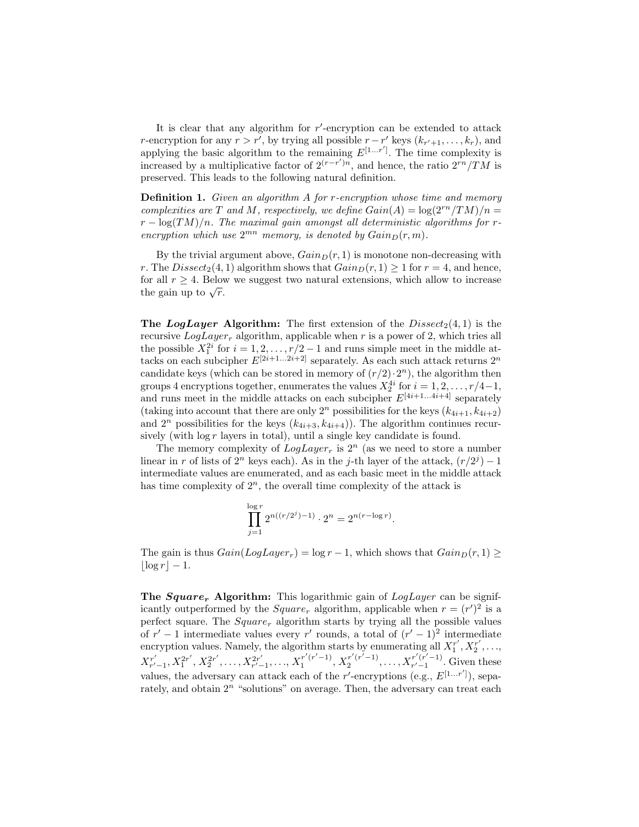It is clear that any algorithm for  $r'$ -encryption can be extended to attack r-encryption for any  $r > r'$ , by trying all possible  $r - r'$  keys  $(k_{r'+1}, \ldots, k_r)$ , and applying the basic algorithm to the remaining  $E^{[1...r']}$ . The time complexity is increased by a multiplicative factor of  $2^{(r-r')n}$ , and hence, the ratio  $2^{rn}/TM$  is preserved. This leads to the following natural definition.

**Definition 1.** Given an algorithm A for r-encryption whose time and memory complexities are T and M, respectively, we define  $Gain(A) = log(2^{rn}/TM)/n =$  $r - \log(TM)/n$ . The maximal gain amongst all deterministic algorithms for rencryption which use  $2^{mn}$  memory, is denoted by  $Gain_D(r, m)$ .

By the trivial argument above,  $Gain_D(r, 1)$  is monotone non-decreasing with r. The Dissect<sub>2</sub>(4, 1) algorithm shows that  $Gain_D(r, 1) \ge 1$  for  $r = 4$ , and hence, for all  $r \geq 4$ . Below we suggest two natural extensions, which allow to increase the gain up to  $\sqrt{r}$ .

The LogLayer Algorithm: The first extension of the  $Dissect_2(4, 1)$  is the recursive  $LogLayer_r$  algorithm, applicable when r is a power of 2, which tries all the possible  $X_1^{2i}$  for  $i = 1, 2, ..., r/2 - 1$  and runs simple meet in the middle attacks on each subcipher  $E^{[2i+1...2i+2]}$  separately. As each such attack returns  $2^n$ candidate keys (which can be stored in memory of  $(r/2) \cdot 2^n$ ), the algorithm then groups 4 encryptions together, enumerates the values  $X_2^{4i}$  for  $i = 1, 2, ..., r/4-1$ , and runs meet in the middle attacks on each subcipher  $E^{[4i+1...4i+4]}$  separately (taking into account that there are only  $2^n$  possibilities for the keys  $(k_{4i+1}, k_{4i+2})$ ) and  $2^n$  possibilities for the keys  $(k_{4i+3}, k_{4i+4})$ . The algorithm continues recursively (with  $\log r$  layers in total), until a single key candidate is found.

The memory complexity of  $LogLayer_r$  is  $2^n$  (as we need to store a number linear in r of lists of  $2^n$  keys each). As in the j-th layer of the attack,  $(r/2^j) - 1$ intermediate values are enumerated, and as each basic meet in the middle attack has time complexity of  $2^n$ , the overall time complexity of the attack is

$$
\prod_{j=1}^{\log r} 2^{n((r/2^j)-1)} \cdot 2^n = 2^{n(r-\log r)}.
$$

The gain is thus  $Gain(LogLayer_r) = log r - 1$ , which shows that  $Gain_D(r, 1) \ge$  $\lfloor \log r \rfloor - 1.$ 

The  $Square<sub>r</sub>$  Algorithm: This logarithmic gain of LogLayer can be significantly outperformed by the  $Square_r$  algorithm, applicable when  $r = (r')^2$  is a perfect square. The  $Square<sub>r</sub>$  algorithm starts by trying all the possible values of  $r' - 1$  intermediate values every r' rounds, a total of  $(r' - 1)^2$  intermediate encryption values. Namely, the algorithm starts by enumerating all  $X_1^{r'}, X_2^{r'}, \ldots$ ,  $X^{r'}_{r'-1}, X^{2r'}_1, X^{2r'}_2, \ldots, X^{2r'}_{r'-1}, \ldots, X^{r'(r'-1)}_1, X^{r'(r'-1)}_2, \ldots, X^{r'(r'-1)}_{r'-1}$  $\frac{r}{r'-1}$ . Given these values, the adversary can attack each of the r'-encryptions (e.g.,  $E^{[1...r']}$ ), separately, and obtain  $2^n$  "solutions" on average. Then, the adversary can treat each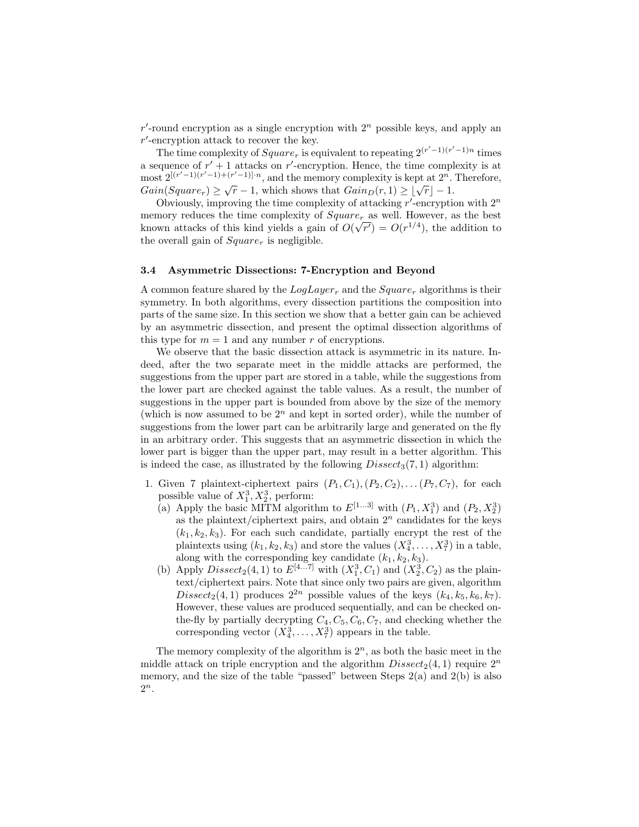$r'$ -round encryption as a single encryption with  $2<sup>n</sup>$  possible keys, and apply an  $r'$ -encryption attack to recover the key.

The time complexity of  $Square<sub>r</sub>$  is equivalent to repeating  $2^{(r'-1)(r'-1)n}$  times a sequence of  $r' + 1$  attacks on  $r'$ -encryption. Hence, the time complexity is at most  $2^{[(r'-1)(r'-1)+(r'-1)]\cdot n}$ , and the memory complexity is kept at  $2^n$ . Therefore, First  $Z^{\kappa}$   $\qquad \qquad$   $\qquad$ , and the memory complexity is kept at 2.<br>  $Gain(Square_r) \geq \sqrt{r} - 1$ , which shows that  $Gain_D(r, 1) \geq \lfloor \sqrt{r} \rfloor - 1$ .

Obviously, improving the time complexity of attacking  $r'$ -encryption with  $2^n$ memory reduces the time complexity of  $Square<sub>r</sub>$  as well. However, as the best known attacks of this kind yields a gain of  $O(\sqrt{r'}) = O(r^{1/4})$ , the addition to the overall gain of  $Square<sub>r</sub>$  is negligible.

#### 3.4 Asymmetric Dissections: 7-Encryption and Beyond

A common feature shared by the  $LogLayer_r$  and the  $Square_r$  algorithms is their symmetry. In both algorithms, every dissection partitions the composition into parts of the same size. In this section we show that a better gain can be achieved by an asymmetric dissection, and present the optimal dissection algorithms of this type for  $m = 1$  and any number r of encryptions.

We observe that the basic dissection attack is asymmetric in its nature. Indeed, after the two separate meet in the middle attacks are performed, the suggestions from the upper part are stored in a table, while the suggestions from the lower part are checked against the table values. As a result, the number of suggestions in the upper part is bounded from above by the size of the memory (which is now assumed to be  $2^n$  and kept in sorted order), while the number of suggestions from the lower part can be arbitrarily large and generated on the fly in an arbitrary order. This suggests that an asymmetric dissection in which the lower part is bigger than the upper part, may result in a better algorithm. This is indeed the case, as illustrated by the following  $Dissect_3(7, 1)$  algorithm:

- 1. Given 7 plaintext-ciphertext pairs  $(P_1, C_1), (P_2, C_2), \ldots (P_7, C_7)$ , for each possible value of  $X_1^3, X_2^3$ , perform:
	- (a) Apply the basic MITM algorithm to  $E^{[1...3]}$  with  $(P_1, X_1^3)$  and  $(P_2, X_2^3)$ as the plaintext/ciphertext pairs, and obtain  $2^n$  candidates for the keys  $(k_1, k_2, k_3)$ . For each such candidate, partially encrypt the rest of the plaintexts using  $(k_1, k_2, k_3)$  and store the values  $(X_4^3, \ldots, X_7^3)$  in a table, along with the corresponding key candidate  $(k_1, k_2, k_3)$ .
	- (b) Apply  $Dissect_2(4,1)$  to  $E^{[4...7]}$  with  $(X_1^3, C_1)$  and  $(X_2^3, C_2)$  as the plaintext/ciphertext pairs. Note that since only two pairs are given, algorithm Dissect<sub>2</sub>(4, 1) produces  $2^{2n}$  possible values of the keys  $(k_4, k_5, k_6, k_7)$ . However, these values are produced sequentially, and can be checked onthe-fly by partially decrypting  $C_4, C_5, C_6, C_7$ , and checking whether the corresponding vector  $(X_4^3, \ldots, X_7^3)$  appears in the table.

The memory complexity of the algorithm is  $2<sup>n</sup>$ , as both the basic meet in the middle attack on triple encryption and the algorithm  $Dissect_2(4, 1)$  require  $2^n$ memory, and the size of the table "passed" between Steps 2(a) and 2(b) is also  $2^n$ .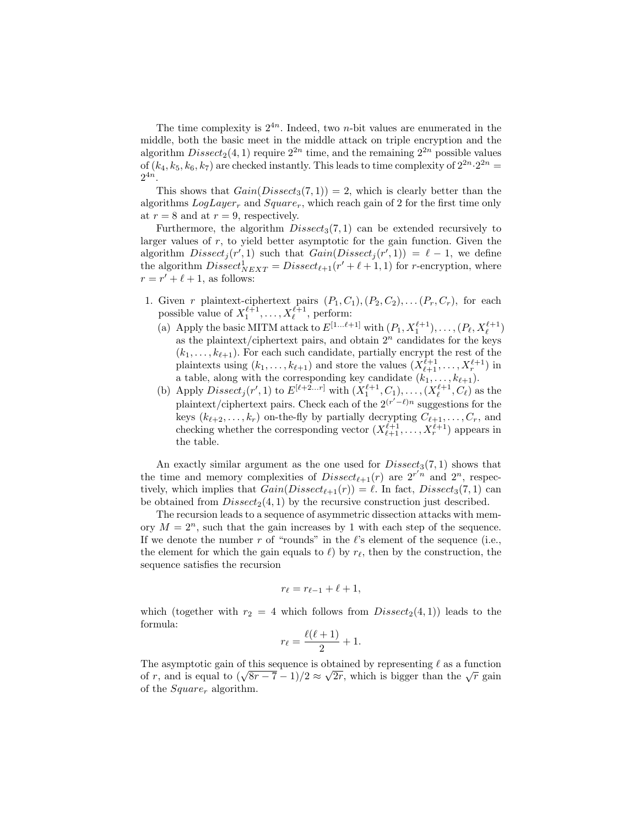The time complexity is  $2^{4n}$ . Indeed, two *n*-bit values are enumerated in the middle, both the basic meet in the middle attack on triple encryption and the algorithm  $Dissect_2(4, 1)$  require  $2^{2n}$  time, and the remaining  $2^{2n}$  possible values of  $(k_4, k_5, k_6, k_7)$  are checked instantly. This leads to time complexity of  $2^{2n} \cdot 2^{2n} =$  $2^{4n}$ .

This shows that  $Gain(Dissect_3(7, 1)) = 2$ , which is clearly better than the algorithms  $LogLayer_r$  and  $Square_r$ , which reach gain of 2 for the first time only at  $r = 8$  and at  $r = 9$ , respectively.

Furthermore, the algorithm  $Dissect_3(7, 1)$  can be extended recursively to larger values of  $r$ , to yield better asymptotic for the gain function. Given the algorithm  $Dissect_j(r', 1)$  such that  $Gain(Dissect_j(r', 1)) = \ell - 1$ , we define the algorithm  $Dissect_{NEXT}^1 = Dissect_{\ell+1}(r'+\ell+1,1)$  for r-encryption, where  $r = r' + \ell + 1$ , as follows:

- 1. Given r plaintext-ciphertext pairs  $(P_1, C_1), (P_2, C_2), \ldots (P_r, C_r)$ , for each possible value of  $X_1^{\ell+1}, \ldots, X_\ell^{\ell+1}$ , perform:
	- (a) Apply the basic MITM attack to  $E^{[1... \ell+1]}$  with  $(P_1, X_1^{\ell+1}), \ldots, (P_\ell, X_\ell^{\ell+1})$ as the plaintext/ciphertext pairs, and obtain  $2<sup>n</sup>$  candidates for the keys  $(k_1, \ldots, k_{\ell+1})$ . For each such candidate, partially encrypt the rest of the plaintexts using  $(k_1, \ldots, k_{\ell+1})$  and store the values  $(X_{\ell+1}^{\ell+1}, \ldots, X_r^{\ell+1})$  in a table, along with the corresponding key candidate  $(k_1, \ldots, k_{\ell+1})$ .
	- (b) Apply  $Dissect_j(r', 1)$  to  $E^{[\ell+2...r]}$  with  $(X_1^{\ell+1}, C_1), ..., (X_{\ell}^{\ell+1}, C_{\ell})$  as the plaintext/ciphertext pairs. Check each of the  $2^{(r'-\ell)n}$  suggestions for the keys  $(k_{\ell+2}, \ldots, k_r)$  on-the-fly by partially decrypting  $C_{\ell+1}, \ldots, C_r$ , and checking whether the corresponding vector  $(X_{\ell+1}^{\ell+1},...,X_{r}^{\ell+1})$  appears in the table.

An exactly similar argument as the one used for  $Dissect_3(7, 1)$  shows that the time and memory complexities of  $Dissect_{\ell+1}(r)$  are  $2^{r'n}$  and  $2^n$ , respectively, which implies that  $Gain(Dissect_{\ell+1}(r)) = \ell$ . In fact,  $Dissect_3(7, 1)$  can be obtained from  $Dissect_2(4, 1)$  by the recursive construction just described.

The recursion leads to a sequence of asymmetric dissection attacks with memory  $M = 2^n$ , such that the gain increases by 1 with each step of the sequence. If we denote the number  $r$  of "rounds" in the  $\ell$ 's element of the sequence (i.e., the element for which the gain equals to  $\ell$ ) by  $r_{\ell}$ , then by the construction, the sequence satisfies the recursion

$$
r_{\ell}=r_{\ell-1}+\ell+1,
$$

which (together with  $r_2 = 4$  which follows from  $Dissect_2(4, 1)$ ) leads to the formula:

$$
r_{\ell} = \frac{\ell(\ell+1)}{2} + 1.
$$

The asymptotic gain of this sequence is obtained by representing  $\ell$  as a function The asymptotic gain of this sequence is obtained by representing  $\ell$  as a function of r, and is equal to  $(\sqrt{8r-7}-1)/2 \approx \sqrt{2r}$ , which is bigger than the  $\sqrt{r}$  gain of the  $Square<sub>r</sub>$  algorithm.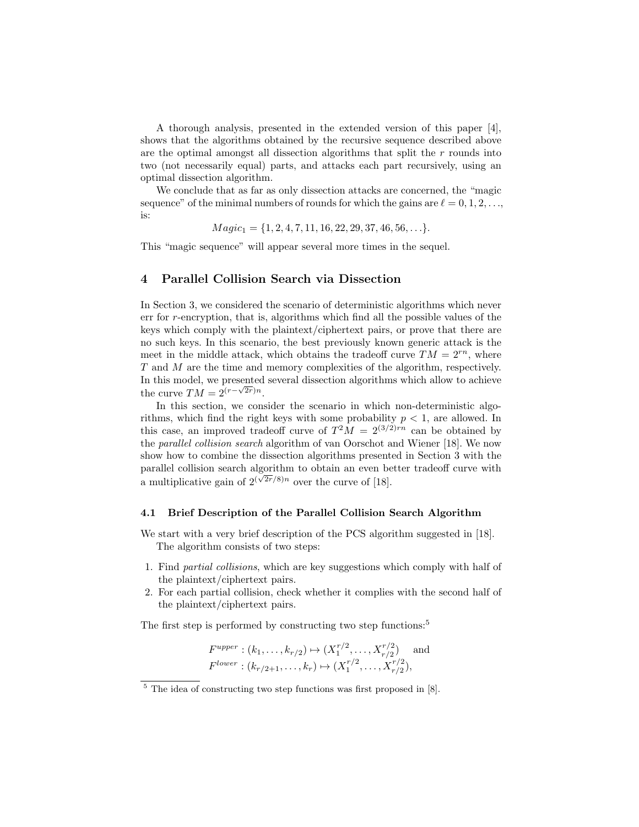A thorough analysis, presented in the extended version of this paper [4], shows that the algorithms obtained by the recursive sequence described above are the optimal amongst all dissection algorithms that split the r rounds into two (not necessarily equal) parts, and attacks each part recursively, using an optimal dissection algorithm.

We conclude that as far as only dissection attacks are concerned, the "magic sequence" of the minimal numbers of rounds for which the gains are  $\ell = 0, 1, 2, \ldots$ is:

 $Magic_1 = \{1, 2, 4, 7, 11, 16, 22, 29, 37, 46, 56, \ldots\}.$ 

This "magic sequence" will appear several more times in the sequel.

## 4 Parallel Collision Search via Dissection

In Section 3, we considered the scenario of deterministic algorithms which never err for r-encryption, that is, algorithms which find all the possible values of the keys which comply with the plaintext/ciphertext pairs, or prove that there are no such keys. In this scenario, the best previously known generic attack is the meet in the middle attack, which obtains the tradeoff curve  $TM = 2^{rn}$ , where T and M are the time and memory complexities of the algorithm, respectively. In this model, we presented several dissection algorithms which allow to achieve the curve  $TM = 2^{(r-\sqrt{2r})n}$ .

In this section, we consider the scenario in which non-deterministic algorithms, which find the right keys with some probability  $p < 1$ , are allowed. In this case, an improved tradeoff curve of  $T^2M = 2^{(3/2)rn}$  can be obtained by the parallel collision search algorithm of van Oorschot and Wiener [18]. We now show how to combine the dissection algorithms presented in Section 3 with the parallel collision search algorithm to obtain an even better tradeoff curve with a multiplicative gain of  $2^{(\sqrt{2r}/8)n}$  over the curve of [18].

#### 4.1 Brief Description of the Parallel Collision Search Algorithm

- We start with a very brief description of the PCS algorithm suggested in [18]. The algorithm consists of two steps:
- 1. Find partial collisions, which are key suggestions which comply with half of the plaintext/ciphertext pairs.
- 2. For each partial collision, check whether it complies with the second half of the plaintext/ciphertext pairs.

The first step is performed by constructing two step functions:<sup>5</sup>

$$
F^{upper} : (k_1, \ldots, k_{r/2}) \mapsto (X_1^{r/2}, \ldots, X_{r/2}^{r/2})
$$
 and  

$$
F^{lower} : (k_{r/2+1}, \ldots, k_r) \mapsto (X_1^{r/2}, \ldots, X_{r/2}^{r/2}),
$$

<sup>&</sup>lt;sup>5</sup> The idea of constructing two step functions was first proposed in [8].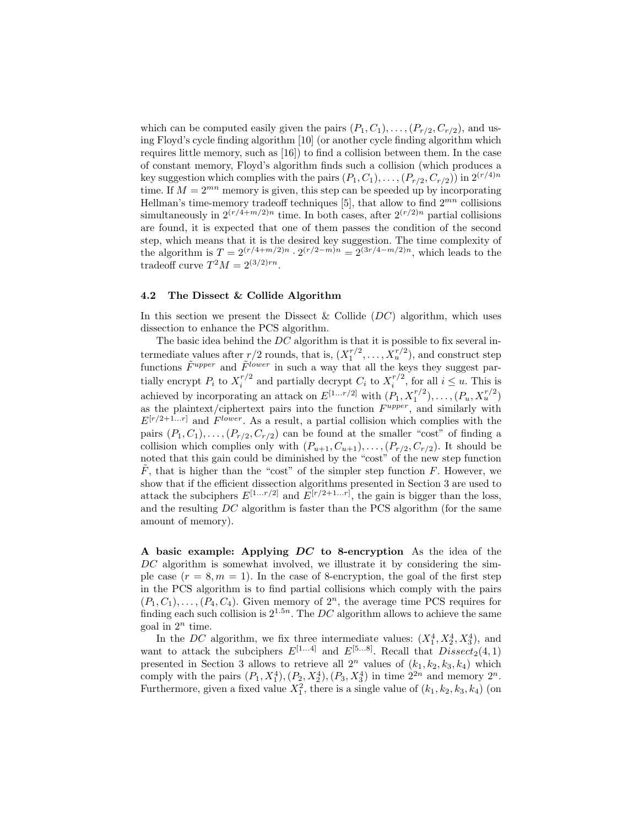which can be computed easily given the pairs  $(P_1, C_1), \ldots, (P_{r/2}, C_{r/2})$ , and using Floyd's cycle finding algorithm [10] (or another cycle finding algorithm which requires little memory, such as [16]) to find a collision between them. In the case of constant memory, Floyd's algorithm finds such a collision (which produces a key suggestion which complies with the pairs  $(P_1, C_1), \ldots, (P_{r/2}, C_{r/2})$  in  $2^{(r/4)n}$ time. If  $M = 2^{mn}$  memory is given, this step can be speeded up by incorporating Hellman's time-memory tradeoff techniques [5], that allow to find  $2^{mn}$  collisions simultaneously in  $2^{(r/4+m/2)n}$  time. In both cases, after  $2^{(r/2)n}$  partial collisions are found, it is expected that one of them passes the condition of the second step, which means that it is the desired key suggestion. The time complexity of the algorithm is  $T = 2^{(r/4+m/2)n} \cdot 2^{(r/2-m)n} = 2^{(3r/4-m/2)n}$ , which leads to the tradeoff curve  $T^2M = 2^{(3/2)rn}$ .

## 4.2 The Dissect & Collide Algorithm

In this section we present the Dissect & Collide  $(DC)$  algorithm, which uses dissection to enhance the PCS algorithm.

The basic idea behind the  $DC$  algorithm is that it is possible to fix several intermediate values after  $r/2$  rounds, that is,  $(X_1^{r/2}, \ldots, X_u^{r/2})$ , and construct step functions  $\tilde{F}^{upper}$  and  $\tilde{F}^{lower}$  in such a way that all the keys they suggest partially encrypt  $P_i$  to  $X_i^{r/2}$  and partially decrypt  $C_i$  to  $X_i^{r/2}$ , for all  $i \leq u$ . This is achieved by incorporating an attack on  $E^{[1...r/2]}$  with  $(P_1, X_1^{r/2}), \ldots, (P_u, X_u^{r/2})$ as the plaintext/ciphertext pairs into the function  $F^{upper}$ , and similarly with  $E^{[r/2+1...r]}$  and  $F^{lower}$ . As a result, a partial collision which complies with the pairs  $(P_1, C_1), \ldots, (P_{r/2}, C_{r/2})$  can be found at the smaller "cost" of finding a collision which complies only with  $(P_{u+1}, C_{u+1}), \ldots, (P_{r/2}, C_{r/2})$ . It should be noted that this gain could be diminished by the "cost" of the new step function  $F$ , that is higher than the "cost" of the simpler step function  $F$ . However, we show that if the efficient dissection algorithms presented in Section 3 are used to attack the subciphers  $E^{[1...r/2]}$  and  $E^{[r/2+1...r]}$ , the gain is bigger than the loss, and the resulting DC algorithm is faster than the PCS algorithm (for the same amount of memory).

A basic example: Applying DC to 8-encryption As the idea of the DC algorithm is somewhat involved, we illustrate it by considering the simple case  $(r = 8, m = 1)$ . In the case of 8-encryption, the goal of the first step in the PCS algorithm is to find partial collisions which comply with the pairs  $(P_1, C_1), \ldots, (P_4, C_4)$ . Given memory of  $2^n$ , the average time PCS requires for finding each such collision is  $2^{1.5n}$ . The DC algorithm allows to achieve the same goal in  $2^n$  time.

In the DC algorithm, we fix three intermediate values:  $(X_1^4, X_2^4, X_3^4)$ , and want to attack the subciphers  $E^{[1...4]}$  and  $E^{[5...8]}$ . Recall that  $Dissect_2(4, 1)$ presented in Section 3 allows to retrieve all  $2^n$  values of  $(k_1, k_2, k_3, k_4)$  which comply with the pairs  $(P_1, X_1^4), (P_2, X_2^4), (P_3, X_3^4)$  in time  $2^{2n}$  and memory  $2^n$ . Furthermore, given a fixed value  $X_1^2$ , there is a single value of  $(k_1, k_2, k_3, k_4)$  (on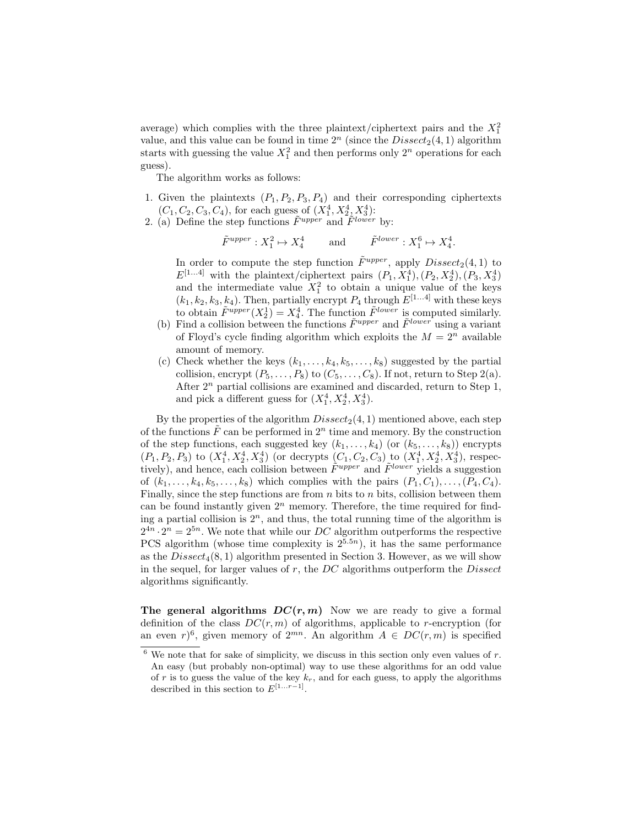average) which complies with the three plaintext/ciphertext pairs and the  $X_1^2$ value, and this value can be found in time  $2^n$  (since the  $Dissect_2(4, 1)$  algorithm starts with guessing the value  $X_1^2$  and then performs only  $2^n$  operations for each guess).

The algorithm works as follows:

- 1. Given the plaintexts  $(P_1, P_2, P_3, P_4)$  and their corresponding ciphertexts  $(C_1, C_2, C_3, C_4)$ , for each guess of  $(X_1^4, X_2^4, X_3^4)$ :
- 2. (a) Define the step functions  $\tilde{F}^{upper}$  and  $\tilde{F}^{lower}$  by:

$$
\tilde{F}^{upper}: X_1^2 \mapsto X_4^4
$$
 and  $\tilde{F}^{lower}: X_1^6 \mapsto X_4^4$ .

In order to compute the step function  $\tilde{F}^{upper}$ , apply  $Dissect_2(4, 1)$  to  $E^{[1...4]}$  with the plaintext/ciphertext pairs  $(P_1, X_1^4), (P_2, X_2^4), (P_3, X_3^4)$ and the intermediate value  $X_1^2$  to obtain a unique value of the keys  $(k_1, k_2, k_3, k_4)$ . Then, partially encrypt  $P_4$  through  $E^{[1...4]}$  with these keys to obtain  $\tilde{F}^{upper}(X_2^1) = X_4^4$ . The function  $\tilde{F}^{lower}$  is computed similarly.

- (b) Find a collision between the functions  $\tilde{F}^{upper}$  and  $\tilde{F}^{lower}$  using a variant of Floyd's cycle finding algorithm which exploits the  $M = 2<sup>n</sup>$  available amount of memory.
- (c) Check whether the keys  $(k_1, \ldots, k_4, k_5, \ldots, k_8)$  suggested by the partial collision, encrypt  $(P_5, \ldots, P_8)$  to  $(C_5, \ldots, C_8)$ . If not, return to Step 2(a). After  $2^n$  partial collisions are examined and discarded, return to Step 1, and pick a different guess for  $(X_1^4, X_2^4, X_3^4)$ .

By the properties of the algorithm  $Dissect_2(4, 1)$  mentioned above, each step of the functions  $F$  can be performed in  $2<sup>n</sup>$  time and memory. By the construction of the step functions, each suggested key  $(k_1, \ldots, k_4)$  (or  $(k_5, \ldots, k_8)$ ) encrypts  $(P_1, P_2, P_3)$  to  $(X_1^4, X_2^4, X_3^4)$  (or decrypts  $(C_1, C_2, C_3)$  to  $(X_1^4, X_2^4, X_3^4)$ , respectively), and hence, each collision between  $\tilde{F}^{upper}$  and  $\tilde{F}^{lower}$  yields a suggestion of  $(k_1, \ldots, k_4, k_5, \ldots, k_8)$  which complies with the pairs  $(P_1, C_1), \ldots, (P_4, C_4)$ . Finally, since the step functions are from  $n$  bits to  $n$  bits, collision between them can be found instantly given  $2^n$  memory. Therefore, the time required for finding a partial collision is  $2^n$ , and thus, the total running time of the algorithm is  $2^{4n} \cdot 2^n = 2^{5n}$ . We note that while our DC algorithm outperforms the respective PCS algorithm (whose time complexity is  $2^{5.5n}$ ), it has the same performance as the  $Dissect_4(8, 1)$  algorithm presented in Section 3. However, as we will show in the sequel, for larger values of  $r$ , the  $DC$  algorithms outperform the  $Dissect$ algorithms significantly.

The general algorithms  $DC(r, m)$  Now we are ready to give a formal definition of the class  $DC(r, m)$  of algorithms, applicable to r-encryption (for an even  $r$ <sup>6</sup>, given memory of  $2^{mn}$ . An algorithm  $A \in DC(r, m)$  is specified

 $6$  We note that for sake of simplicity, we discuss in this section only even values of  $r$ . An easy (but probably non-optimal) way to use these algorithms for an odd value of r is to guess the value of the key  $k_r$ , and for each guess, to apply the algorithms described in this section to  $E^{[1...r-1]}$ .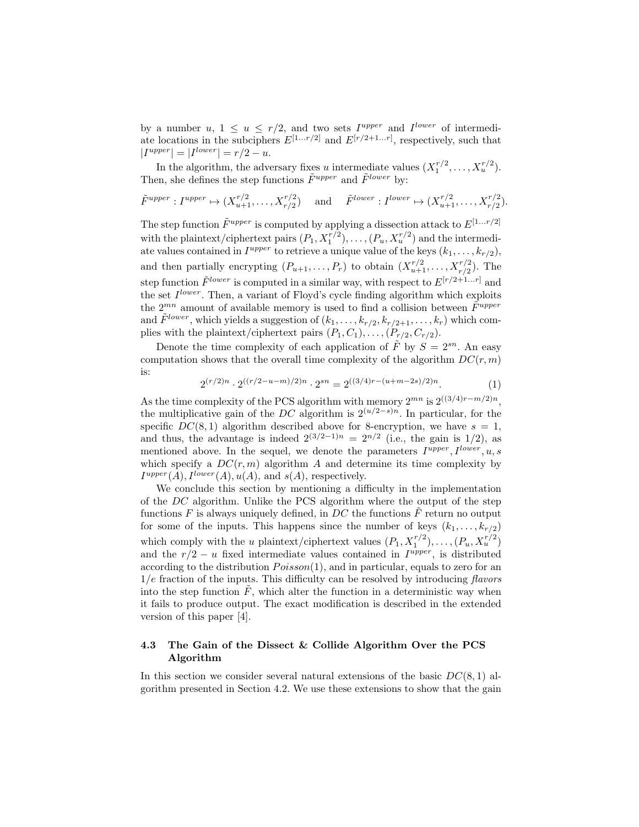by a number  $u, 1 \le u \le r/2$ , and two sets  $I^{upper}$  and  $I^{lower}$  of intermediate locations in the subciphers  $E^{[1...r/2]}$  and  $E^{[r/2+1...r]}$ , respectively, such that  $|I^{upper}| = |I^{lower}| = r/2 - u.$ 

In the algorithm, the adversary fixes u intermediate values  $(X_1^{r/2}, \ldots, X_u^{r/2})$ . Then, she defines the step functions  $\tilde{F}^{upper}$  and  $\tilde{F}^{lower}$  by:

$$
\tilde{F}^{upper}: I^{upper} \mapsto (X_{u+1}^{r/2}, \dots, X_{r/2}^{r/2}) \quad \text{and} \quad \tilde{F}^{lower}: I^{lower} \mapsto (X_{u+1}^{r/2}, \dots, X_{r/2}^{r/2}).
$$

The step function  $\tilde{F}^{upper}$  is computed by applying a dissection attack to  $E^{[1...r/2]}$ with the plaintext/ciphertext pairs  $(P_1, X_1^{r/2}), \ldots, (P_u, X_u^{r/2})$  and the intermediate values contained in  $I^{upper}$  to retrieve a unique value of the keys  $(k_1, \ldots, k_{r/2}),$ and then partially encrypting  $(P_{u+1},...,P_r)$  to obtain  $(X_{u+1}^{r/2},...,X_{r/2}^{r/2})$ . The step function  $\tilde{F}^{lower}$  is computed in a similar way, with respect to  $E^{[r/2+1...r]}$  and the set  $I^{lower}$ . Then, a variant of Floyd's cycle finding algorithm which exploits the  $2^{mn}$  amount of available memory is used to find a collision between  $\tilde{F}^{upper}$ and  $\tilde{F}^{lower}$ , which yields a suggestion of  $(k_1, \ldots, k_{r/2}, k_{r/2+1}, \ldots, k_r)$  which complies with the plaintext/ciphertext pairs  $(P_1, C_1), \ldots, (P_{r/2}, C_{r/2})$ .

Denote the time complexity of each application of  $\tilde{F}$  by  $S = 2^{sn}$ . An easy computation shows that the overall time complexity of the algorithm  $DC(r, m)$ is:

$$
2^{(r/2)n} \cdot 2^{((r/2 - u - m)/2)n} \cdot 2^{sn} = 2^{((3/4)r - (u + m - 2s)/2)n}.\tag{1}
$$

As the time complexity of the PCS algorithm with memory  $2^{mn}$  is  $2^{((3/4)r-m/2)n}$ , the multiplicative gain of the DC algorithm is  $2^{(u/2-s)n}$ . In particular, for the specific  $DC(8, 1)$  algorithm described above for 8-encryption, we have  $s = 1$ , and thus, the advantage is indeed  $2^{(3/2-1)n} = 2^{n/2}$  (i.e., the gain is 1/2), as mentioned above. In the sequel, we denote the parameters  $I^{upper}$ ,  $I^{lower}$ ,  $u, s$ which specify a  $DC(r, m)$  algorithm A and determine its time complexity by  $I^{upper}(A), I^{lower}(A), u(A),$  and  $s(A),$  respectively.

We conclude this section by mentioning a difficulty in the implementation of the DC algorithm. Unlike the PCS algorithm where the output of the step functions F is always uniquely defined, in DC the functions  $\tilde{F}$  return no output for some of the inputs. This happens since the number of keys  $(k_1, \ldots, k_{r/2})$ which comply with the u plaintext/ciphertext values  $(P_1, X_1^{r/2}), \ldots, (P_u, X_u^{r/2})$ and the  $r/2 - u$  fixed intermediate values contained in  $I^{upper}$ , is distributed according to the distribution  $Poisson(1)$ , and in particular, equals to zero for an  $1/e$  fraction of the inputs. This difficulty can be resolved by introducing flavors into the step function  $F$ , which alter the function in a deterministic way when it fails to produce output. The exact modification is described in the extended version of this paper [4].

## 4.3 The Gain of the Dissect & Collide Algorithm Over the PCS Algorithm

In this section we consider several natural extensions of the basic  $DC(8, 1)$  algorithm presented in Section 4.2. We use these extensions to show that the gain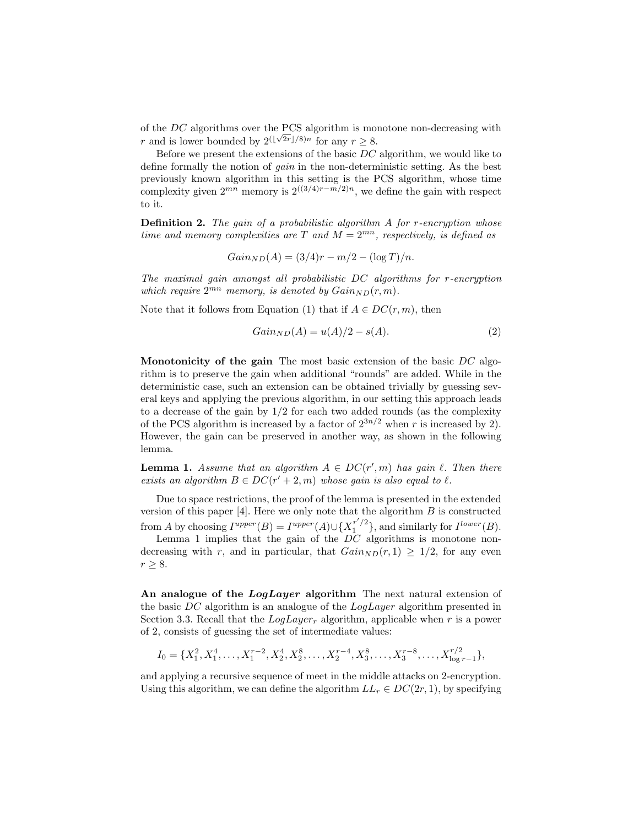of the  $DC$  algorithms over the PCS algorithm is monotone non-decreasing with r and is lower bounded by  $2^{(\lfloor \sqrt{2r} \rfloor/8)n}$  for any  $r \ge 8$ .

Before we present the extensions of the basic  $DC$  algorithm, we would like to define formally the notion of gain in the non-deterministic setting. As the best previously known algorithm in this setting is the PCS algorithm, whose time complexity given  $2^{mn}$  memory is  $2^{((3/4)r-m/2)n}$ , we define the gain with respect to it.

**Definition 2.** The gain of a probabilistic algorithm  $\overline{A}$  for r-encryption whose time and memory complexities are T and  $M = 2^{mn}$ , respectively, is defined as

$$
Gain_{ND}(A) = (3/4)r - m/2 - (\log T)/n.
$$

The maximal gain amongst all probabilistic DC algorithms for r-encryption which require  $2^{mn}$  memory, is denoted by  $Gain_{ND}(r, m)$ .

Note that it follows from Equation (1) that if  $A \in DC(r, m)$ , then

$$
Gain_{ND}(A) = u(A)/2 - s(A). \tag{2}
$$

Monotonicity of the gain The most basic extension of the basic DC algorithm is to preserve the gain when additional "rounds" are added. While in the deterministic case, such an extension can be obtained trivially by guessing several keys and applying the previous algorithm, in our setting this approach leads to a decrease of the gain by  $1/2$  for each two added rounds (as the complexity of the PCS algorithm is increased by a factor of  $2^{3n/2}$  when r is increased by 2). However, the gain can be preserved in another way, as shown in the following lemma.

**Lemma 1.** Assume that an algorithm  $A \in DC(r', m)$  has gain  $\ell$ . Then there exists an algorithm  $B \in DC(r'+2, m)$  whose gain is also equal to  $\ell$ .

Due to space restrictions, the proof of the lemma is presented in the extended version of this paper  $[4]$ . Here we only note that the algorithm  $B$  is constructed from A by choosing  $I^{upper}(B) = I^{upper}(A) \cup \{X_1^{r'/2}\}\$ , and similarly for  $I^{lower}(B)$ .

Lemma 1 implies that the gain of the  $DC$  algorithms is monotone nondecreasing with r, and in particular, that  $Gain_{ND}(r, 1) \ge 1/2$ , for any even  $r \geq 8$ .

An analogue of the *LogLayer* algorithm The next natural extension of the basic  $DC$  algorithm is an analogue of the  $LogLayer$  algorithm presented in Section 3.3. Recall that the  $LogLayer_r$  algorithm, applicable when r is a power of 2, consists of guessing the set of intermediate values:

$$
I_0 = \{X_1^2, X_1^4, \dots, X_1^{r-2}, X_2^4, X_2^8, \dots, X_2^{r-4}, X_3^8, \dots, X_3^{r-8}, \dots, X_{\log r-1}^{r/2}\},\
$$

and applying a recursive sequence of meet in the middle attacks on 2-encryption. Using this algorithm, we can define the algorithm  $LL_r \in DC(2r, 1)$ , by specifying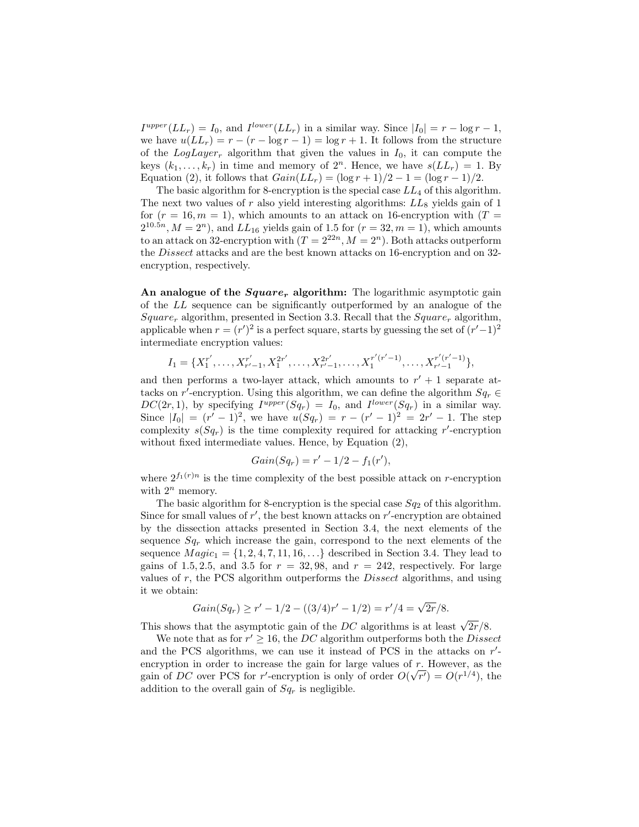$I^{upper}(LL_r) = I_0$ , and  $I^{lower}(LL_r)$  in a similar way. Since  $|I_0| = r - \log r - 1$ , we have  $u(LL_r) = r - (r - \log r - 1) = \log r + 1$ . It follows from the structure of the  $LogLayer_r$  algorithm that given the values in  $I_0$ , it can compute the keys  $(k_1, \ldots, k_r)$  in time and memory of  $2^n$ . Hence, we have  $s(LL_r) = 1$ . By Equation (2), it follows that  $Gain(LL_r) = (log r + 1)/2 - 1 = (log r - 1)/2$ .

The basic algorithm for 8-encryption is the special case  $LL_4$  of this algorithm. The next two values of r also yield interesting algorithms:  $LL_8$  yields gain of 1 for  $(r = 16, m = 1)$ , which amounts to an attack on 16-encryption with  $(T =$  $2^{10.5n}$ ,  $M = 2^n$ ), and  $LL_{16}$  yields gain of 1.5 for  $(r = 32, m = 1)$ , which amounts to an attack on 32-encryption with  $(T = 2^{22n}, M = 2^n)$ . Both attacks outperform the Dissect attacks and are the best known attacks on 16-encryption and on 32 encryption, respectively.

An analogue of the  $Square<sub>r</sub>$  algorithm: The logarithmic asymptotic gain of the LL sequence can be significantly outperformed by an analogue of the  $Square<sub>r</sub>$  algorithm, presented in Section 3.3. Recall that the  $Square<sub>r</sub>$  algorithm, applicable when  $r = (r')^2$  is a perfect square, starts by guessing the set of  $(r'-1)^2$ intermediate encryption values:

$$
I_1 = \{X_1^{r'}, \ldots, X_{r'-1}^{r'}, X_1^{2r'}, \ldots, X_{r'-1}^{2r'}, \ldots, X_1^{r'(r'-1)}, \ldots, X_{r'-1}^{r'(r'-1)}\},
$$

and then performs a two-layer attack, which amounts to  $r' + 1$  separate attacks on r'-encryption. Using this algorithm, we can define the algorithm  $Sq_r \in$  $DC(2r, 1)$ , by specifying  $I^{upper}(Sq_r) = I_0$ , and  $I^{lower}(Sq_r)$  in a similar way. Since  $|I_0| = (r'-1)^2$ , we have  $u(Sq_r) = r - (r'-1)^2 = 2r'-1$ . The step complexity  $s(Sq_r)$  is the time complexity required for attacking r'-encryption without fixed intermediate values. Hence, by Equation (2),

$$
Gain(Sq_r) = r' - 1/2 - f_1(r'),
$$

where  $2^{f_1(r)n}$  is the time complexity of the best possible attack on r-encryption with  $2^n$  memory.

The basic algorithm for 8-encryption is the special case  $Sq_2$  of this algorithm. Since for small values of  $r'$ , the best known attacks on  $r'$ -encryption are obtained by the dissection attacks presented in Section 3.4, the next elements of the sequence  $Sq_r$  which increase the gain, correspond to the next elements of the sequence  $\text{Magic}_1 = \{1, 2, 4, 7, 11, 16, \ldots\}$  described in Section 3.4. They lead to gains of 1.5, 2.5, and 3.5 for  $r = 32, 98$ , and  $r = 242$ , respectively. For large values of r, the PCS algorithm outperforms the Dissect algorithms, and using it we obtain:

$$
Gain(Sq_r) \ge r' - 1/2 - ((3/4)r' - 1/2) = r'/4 = \sqrt{2r}/8.
$$

This shows that the asymptotic gain of the DC algorithms is at least  $\sqrt{2r}/8$ .

We note that as for  $r' \geq 16$ , the DC algorithm outperforms both the Dissect and the PCS algorithms, we can use it instead of PCS in the attacks on  $r'$ encryption in order to increase the gain for large values of r. However, as the gain of DC over PCS for r'-encryption is only of order  $O(\sqrt{r'}) = O(r^{1/4})$ , the addition to the overall gain of  $Sq_r$  is negligible.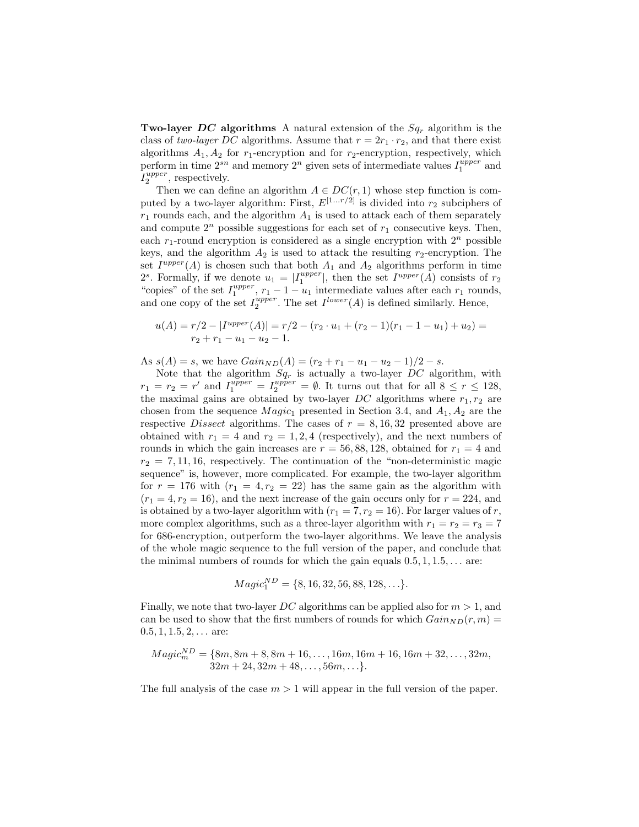**Two-layer DC algorithms** A natural extension of the  $Sq_r$  algorithm is the class of two-layer DC algorithms. Assume that  $r = 2r_1 \cdot r_2$ , and that there exist algorithms  $A_1, A_2$  for  $r_1$ -encryption and for  $r_2$ -encryption, respectively, which perform in time  $2^{sn}$  and memory  $2^n$  given sets of intermediate values  $I_1^{upper}$  and  $I_2^{upper}$ , respectively.

Then we can define an algorithm  $A \in DC(r, 1)$  whose step function is computed by a two-layer algorithm: First,  $E^{[1...r/2]}$  is divided into  $r_2$  subciphers of  $r_1$  rounds each, and the algorithm  $A_1$  is used to attack each of them separately and compute  $2^n$  possible suggestions for each set of  $r_1$  consecutive keys. Then, each  $r_1$ -round encryption is considered as a single encryption with  $2^n$  possible keys, and the algorithm  $A_2$  is used to attack the resulting  $r_2$ -encryption. The set  $I^{upper}(A)$  is chosen such that both  $A_1$  and  $A_2$  algorithms perform in time 2<sup>s</sup>. Formally, if we denote  $u_1 = |I_1^{upper}|$ , then the set  $I^{upper}(A)$  consists of  $r_2$ "copies" of the set  $I_1^{upper}$ ,  $r_1 - 1 - u_1$  intermediate values after each  $r_1$  rounds, and one copy of the set  $I_2^{upper}$ . The set  $I^{lower}(A)$  is defined similarly. Hence,

$$
u(A) = r/2 - |I^{upper}(A)| = r/2 - (r_2 \cdot u_1 + (r_2 - 1)(r_1 - 1 - u_1) + u_2) =
$$
  

$$
r_2 + r_1 - u_1 - u_2 - 1.
$$

As  $s(A) = s$ , we have  $Gain_{ND}(A) = (r_2 + r_1 - u_1 - u_2 - 1)/2 - s$ .

Note that the algorithm  $Sq_r$  is actually a two-layer DC algorithm, with  $r_1 = r_2 = r'$  and  $I_1^{upper} = I_2^{upper} = \emptyset$ . It turns out that for all  $8 \le r \le 128$ , the maximal gains are obtained by two-layer DC algorithms where  $r_1, r_2$  are chosen from the sequence  $\text{Magic}_1$  presented in Section 3.4, and  $A_1, A_2$  are the respective *Dissect* algorithms. The cases of  $r = 8, 16, 32$  presented above are obtained with  $r_1 = 4$  and  $r_2 = 1, 2, 4$  (respectively), and the next numbers of rounds in which the gain increases are  $r = 56, 88, 128$ , obtained for  $r_1 = 4$  and  $r_2 = 7, 11, 16$ , respectively. The continuation of the "non-deterministic magic sequence" is, however, more complicated. For example, the two-layer algorithm for  $r = 176$  with  $(r_1 = 4, r_2 = 22)$  has the same gain as the algorithm with  $(r_1 = 4, r_2 = 16)$ , and the next increase of the gain occurs only for  $r = 224$ , and is obtained by a two-layer algorithm with  $(r_1 = 7, r_2 = 16)$ . For larger values of r, more complex algorithms, such as a three-layer algorithm with  $r_1 = r_2 = r_3 = 7$ for 686-encryption, outperform the two-layer algorithms. We leave the analysis of the whole magic sequence to the full version of the paper, and conclude that the minimal numbers of rounds for which the gain equals  $0.5, 1, 1.5, \ldots$  are:

$$
Magic_1^{ND} = \{8, 16, 32, 56, 88, 128, \ldots\}.
$$

Finally, we note that two-layer DC algorithms can be applied also for  $m > 1$ , and can be used to show that the first numbers of rounds for which  $Gain_{ND}(r, m)$  $0.5, 1, 1.5, 2, \ldots$  are:

$$
Magic_m^{ND} = \{8m, 8m+8, 8m+16, \dots, 16m, 16m+16, 16m+32, \dots, 32m, 32m+24, 32m+48, \dots, 56m, \dots\}.
$$

The full analysis of the case  $m > 1$  will appear in the full version of the paper.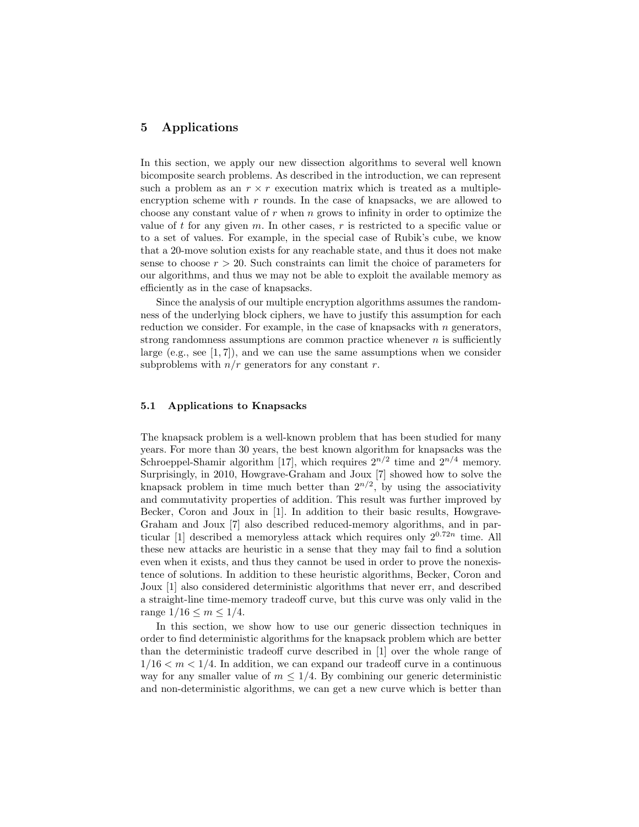# 5 Applications

In this section, we apply our new dissection algorithms to several well known bicomposite search problems. As described in the introduction, we can represent such a problem as an  $r \times r$  execution matrix which is treated as a multipleencryption scheme with  $r$  rounds. In the case of knapsacks, we are allowed to choose any constant value of  $r$  when  $n$  grows to infinity in order to optimize the value of t for any given m. In other cases,  $r$  is restricted to a specific value or to a set of values. For example, in the special case of Rubik's cube, we know that a 20-move solution exists for any reachable state, and thus it does not make sense to choose  $r > 20$ . Such constraints can limit the choice of parameters for our algorithms, and thus we may not be able to exploit the available memory as efficiently as in the case of knapsacks.

Since the analysis of our multiple encryption algorithms assumes the randomness of the underlying block ciphers, we have to justify this assumption for each reduction we consider. For example, in the case of knapsacks with  $n$  generators, strong randomness assumptions are common practice whenever  $n$  is sufficiently large (e.g., see [1, 7]), and we can use the same assumptions when we consider subproblems with  $n/r$  generators for any constant r.

## 5.1 Applications to Knapsacks

The knapsack problem is a well-known problem that has been studied for many years. For more than 30 years, the best known algorithm for knapsacks was the Schroeppel-Shamir algorithm [17], which requires  $2^{n/2}$  time and  $2^{n/4}$  memory. Surprisingly, in 2010, Howgrave-Graham and Joux [7] showed how to solve the knapsack problem in time much better than  $2^{n/2}$ , by using the associativity and commutativity properties of addition. This result was further improved by Becker, Coron and Joux in [1]. In addition to their basic results, Howgrave-Graham and Joux [7] also described reduced-memory algorithms, and in particular [1] described a memoryless attack which requires only  $2^{0.72n}$  time. All these new attacks are heuristic in a sense that they may fail to find a solution even when it exists, and thus they cannot be used in order to prove the nonexistence of solutions. In addition to these heuristic algorithms, Becker, Coron and Joux [1] also considered deterministic algorithms that never err, and described a straight-line time-memory tradeoff curve, but this curve was only valid in the range  $1/16 \le m \le 1/4$ .

In this section, we show how to use our generic dissection techniques in order to find deterministic algorithms for the knapsack problem which are better than the deterministic tradeoff curve described in [1] over the whole range of  $1/16 < m < 1/4$ . In addition, we can expand our tradeoff curve in a continuous way for any smaller value of  $m \leq 1/4$ . By combining our generic deterministic and non-deterministic algorithms, we can get a new curve which is better than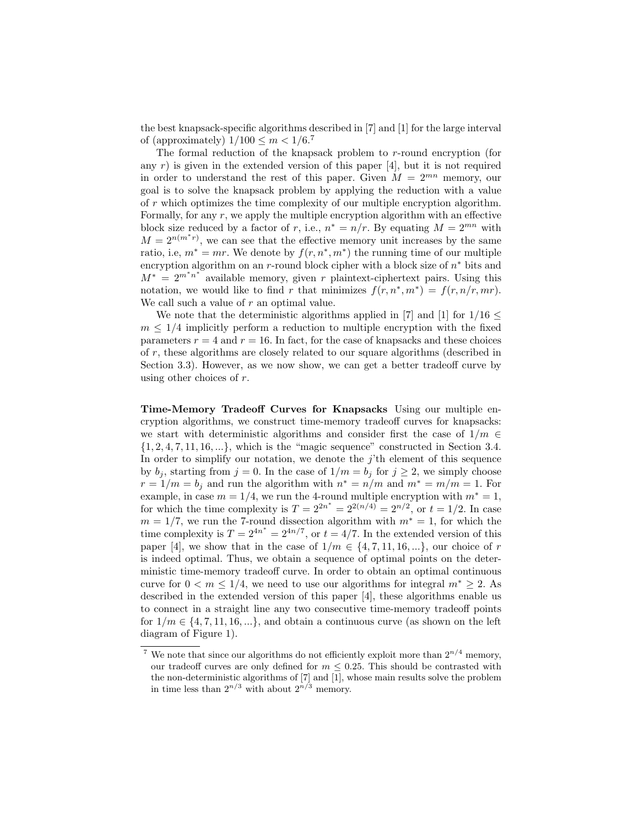the best knapsack-specific algorithms described in [7] and [1] for the large interval of (approximately)  $1/100 \leq m \leq 1/6$ <sup>7</sup>

The formal reduction of the knapsack problem to r-round encryption (for any  $r$ ) is given in the extended version of this paper [4], but it is not required in order to understand the rest of this paper. Given  $M = 2^{mn}$  memory, our goal is to solve the knapsack problem by applying the reduction with a value of  $r$  which optimizes the time complexity of our multiple encryption algorithm. Formally, for any  $r$ , we apply the multiple encryption algorithm with an effective block size reduced by a factor of r, i.e.,  $n^* = n/r$ . By equating  $M = 2^{mn}$  with  $M = 2^{n(m^*r)}$ , we can see that the effective memory unit increases by the same ratio, i.e,  $m^* = mr$ . We denote by  $f(r, n^*, m^*)$  the running time of our multiple encryption algorithm on an r-round block cipher with a block size of  $n^*$  bits and  $M^* = 2^{m^*n^*}$  available memory, given r plaintext-ciphertext pairs. Using this notation, we would like to find r that minimizes  $f(r, n^*, m^*) = f(r, n/r, mr)$ . We call such a value of  $r$  an optimal value.

We note that the deterministic algorithms applied in [7] and [1] for  $1/16 \le$  $m \leq 1/4$  implicitly perform a reduction to multiple encryption with the fixed parameters  $r = 4$  and  $r = 16$ . In fact, for the case of knapsacks and these choices of r, these algorithms are closely related to our square algorithms (described in Section 3.3). However, as we now show, we can get a better tradeoff curve by using other choices of r.

Time-Memory Tradeoff Curves for Knapsacks Using our multiple encryption algorithms, we construct time-memory tradeoff curves for knapsacks: we start with deterministic algorithms and consider first the case of  $1/m \in$  $\{1, 2, 4, 7, 11, 16, ...\}$ , which is the "magic sequence" constructed in Section 3.4. In order to simplify our notation, we denote the  $j$ 'th element of this sequence by  $b_j$ , starting from  $j = 0$ . In the case of  $1/m = b_j$  for  $j \ge 2$ , we simply choose  $r = 1/m = b_j$  and run the algorithm with  $n^* = n/m$  and  $m^* = m/m = 1$ . For example, in case  $m = 1/4$ , we run the 4-round multiple encryption with  $m^* = 1$ , for which the time complexity is  $T = 2^{2n^*} = 2^{2(n/4)} = 2^{n/2}$ , or  $t = 1/2$ . In case  $m = 1/7$ , we run the 7-round dissection algorithm with  $m^* = 1$ , for which the time complexity is  $T = 2^{4n^*} = 2^{4n/7}$ , or  $t = 4/7$ . In the extended version of this paper [4], we show that in the case of  $1/m \in \{4, 7, 11, 16, ...\}$ , our choice of r is indeed optimal. Thus, we obtain a sequence of optimal points on the deterministic time-memory tradeoff curve. In order to obtain an optimal continuous curve for  $0 \lt m \lt 1/4$ , we need to use our algorithms for integral  $m^* \geq 2$ . As described in the extended version of this paper [4], these algorithms enable us to connect in a straight line any two consecutive time-memory tradeoff points for  $1/m \in \{4, 7, 11, 16, ...\}$ , and obtain a continuous curve (as shown on the left diagram of Figure 1).

<sup>&</sup>lt;sup>7</sup> We note that since our algorithms do not efficiently exploit more than  $2^{n/4}$  memory, our tradeoff curves are only defined for  $m \leq 0.25$ . This should be contrasted with the non-deterministic algorithms of [7] and [1], whose main results solve the problem in time less than  $2^{n/3}$  with about  $2^{n/3}$  memory.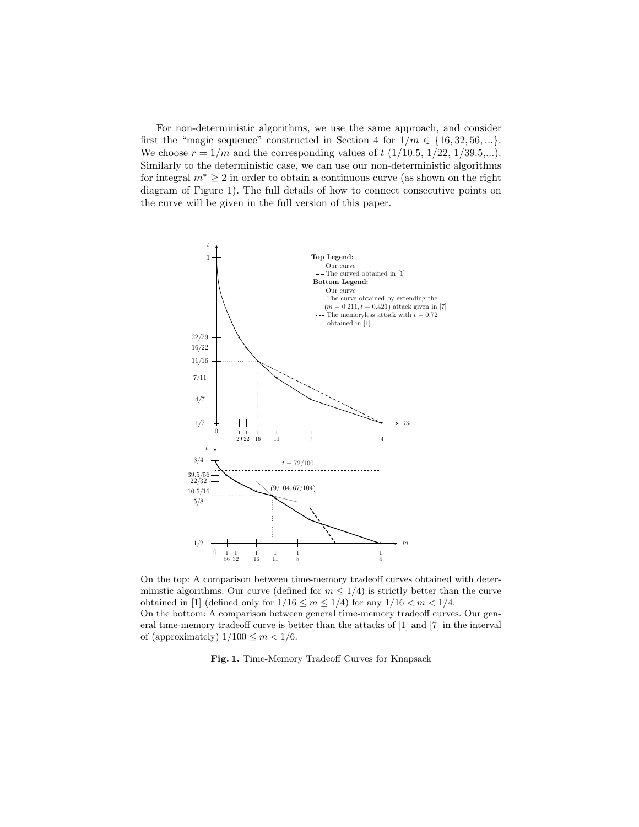For non-deterministic algorithms, we use the same approach, and consider first the "magic sequence" constructed in Section 4 for  $1/m \in \{16, 32, 56, ...\}$ . We choose  $r = 1/m$  and the corresponding values of t  $(1/10.5, 1/22, 1/39.5,...)$ . Similarly to the deterministic case, we can use our non-deterministic algorithms for integral  $m^* \geq 2$  in order to obtain a continuous curve (as shown on the right diagram of Figure 1). The full details of how to connect consecutive points on the curve will be given in the full version of this paper.



On the top: A comparison between time-memory tradeoff curves obtained with deterministic algorithms. Our curve (defined for  $m \leq 1/4$ ) is strictly better than the curve obtained in [1] (defined only for  $1/16 \le m \le 1/4$ ) for any  $1/16 < m < 1/4$ . On the bottom: A comparison between general time-memory tradeoff curves. Our general time-memory tradeoff curve is better than the attacks of [1] and [7] in the interval of (approximately)  $1/100 \leq m < 1/6$ .

Fig. 1. Time-Memory Tradeoff Curves for Knapsack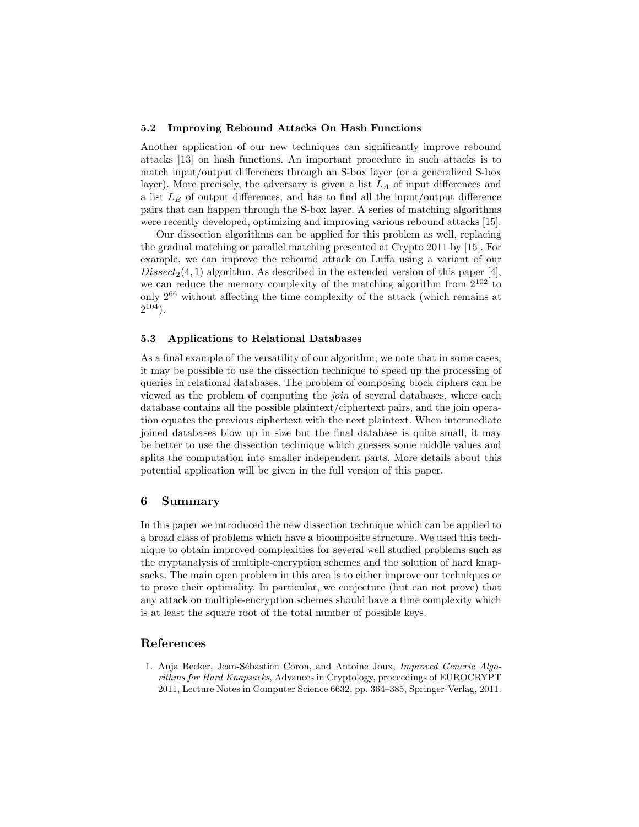## 5.2 Improving Rebound Attacks On Hash Functions

Another application of our new techniques can significantly improve rebound attacks [13] on hash functions. An important procedure in such attacks is to match input/output differences through an S-box layer (or a generalized S-box layer). More precisely, the adversary is given a list  $L_A$  of input differences and a list  $L_B$  of output differences, and has to find all the input/output difference pairs that can happen through the S-box layer. A series of matching algorithms were recently developed, optimizing and improving various rebound attacks [15].

Our dissection algorithms can be applied for this problem as well, replacing the gradual matching or parallel matching presented at Crypto 2011 by [15]. For example, we can improve the rebound attack on Luffa using a variant of our  $Dissect_2(4, 1)$  algorithm. As described in the extended version of this paper [4], we can reduce the memory complexity of the matching algorithm from  $2^{102}$  to only 2<sup>66</sup> without affecting the time complexity of the attack (which remains at  $2^{104}$ ).

## 5.3 Applications to Relational Databases

As a final example of the versatility of our algorithm, we note that in some cases, it may be possible to use the dissection technique to speed up the processing of queries in relational databases. The problem of composing block ciphers can be viewed as the problem of computing the join of several databases, where each database contains all the possible plaintext/ciphertext pairs, and the join operation equates the previous ciphertext with the next plaintext. When intermediate joined databases blow up in size but the final database is quite small, it may be better to use the dissection technique which guesses some middle values and splits the computation into smaller independent parts. More details about this potential application will be given in the full version of this paper.

#### 6 Summary

In this paper we introduced the new dissection technique which can be applied to a broad class of problems which have a bicomposite structure. We used this technique to obtain improved complexities for several well studied problems such as the cryptanalysis of multiple-encryption schemes and the solution of hard knapsacks. The main open problem in this area is to either improve our techniques or to prove their optimality. In particular, we conjecture (but can not prove) that any attack on multiple-encryption schemes should have a time complexity which is at least the square root of the total number of possible keys.

# References

1. Anja Becker, Jean-Sébastien Coron, and Antoine Joux, Improved Generic Algorithms for Hard Knapsacks, Advances in Cryptology, proceedings of EUROCRYPT 2011, Lecture Notes in Computer Science 6632, pp. 364–385, Springer-Verlag, 2011.